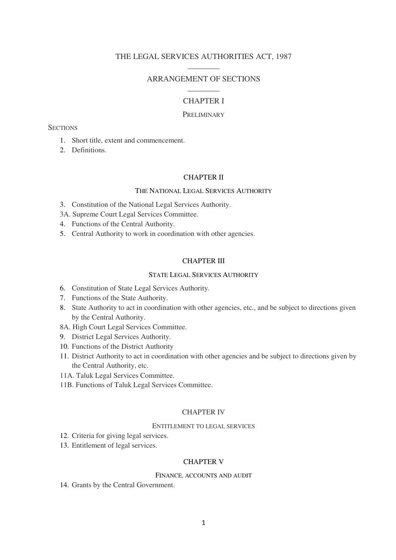# THE LEGAL SERVICES AUTHORITIES ACT, 1987  $\overline{\phantom{a}}$

# ARRANGEMENT OF SECTIONS  $\frac{1}{2}$

# CHAPTER I

## PRELIMINARY

# **SECTIONS**

- 1. Short title, extent and commencement.
- 2. Definitions.

### CHAPTER II

### THE NATIONAL LEGAL SERVICES AUTHORITY

- 3. Constitution of the National Legal Services Authority.
- 3A. Supreme Court Legal Services Committee.
- 4. Functions of the Central Authority.
- 5. Central Authority to work in coordination with other agencies.

### CHAPTER III

## STATE LEGAL SERVICES AUTHORITY

- 6. Constitution of State Legal Services Authority.
- 7. Functions of the State Authority.
- 8. State Authority to act in coordination with other agencies, etc., and be subject to directions given by the Central Authority.
- 8A. High Court Legal Services Committee.
- 9. District Legal Services Authority.
- 10. Functions of the District Authority
- 11. District Authority to act in coordination with other agencies and be subject to directions given by the Central Authority, etc.
- 11A. Taluk Legal Services Committee.
- 11B. Functions of Taluk Legal Services Committee.

## CHAPTER IV

## ENTITLEMENT TO LEGAL SERVICES

- 12. Criteria for giving legal services.
- 13. Entitlement of legal services.

# CHAPTER V

#### FINANCE, ACCOUNTS AND AUDIT

14. Grants by the Central Government.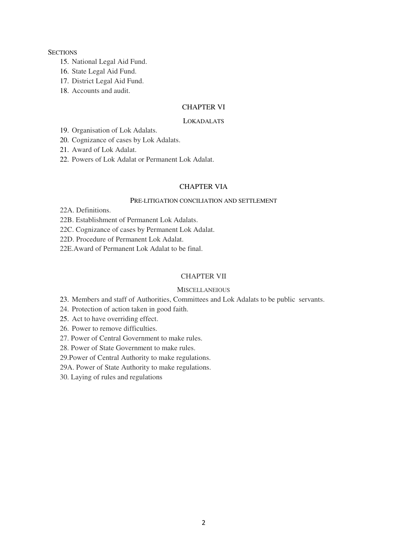### **SECTIONS**

- 15. National Legal Aid Fund.
- 16. State Legal Aid Fund.
- 17. District Legal Aid Fund.
- 18. Accounts and audit.

# CHAPTER VI

### LOKADALATS

19. Organisation of Lok Adalats.

20. Cognizance of cases by Lok Adalats.

21. Award of Lok Adalat.

22. Powers of Lok Adalat or Permanent Lok Adalat.

# CHAPTER VIA

# PRE-LITIGATION CONCILIATION AND SETTLEMENT

22A. Definitions.

22B. Establishment of Permanent Lok Adalats.

- 22C. Cognizance of cases by Permanent Lok Adalat.
- 22D. Procedure of Permanent Lok Adalat.
- 22E.Award of Permanent Lok Adalat to be final.

## CHAPTER VII

# **MISCELLANEIOUS**

23. Members and staff of Authorities, Committees and Lok Adalats to be public servants.

24. Protection of action taken in good faith.

25. Act to have overriding effect.

26. Power to remove difficulties.

27. Power of Central Government to make rules.

28. Power of State Government to make rules.

29.Power of Central Authority to make regulations.

29A. Power of State Authority to make regulations.

30. Laying of rules and regulations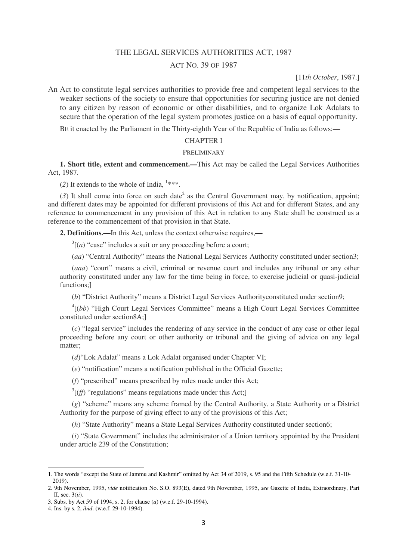## THE LEGAL SERVICES AUTHORITIES ACT, 1987

## ACT NO. 39 OF 1987

### [11*th October*, 1987.]

An Act to constitute legal services authorities to provide free and competent legal services to the weaker sections of the society to ensure that opportunities for securing justice are not denied to any citizen by reason of economic or other disabilities, and to organize Lok Adalats to secure that the operation of the legal system promotes justice on a basis of equal opportunity.

BE it enacted by the Parliament in the Thirty-eighth Year of the Republic of India as follows:**—** 

### CHAPTER I

#### PRELIMINARY

**1. Short title, extent and commencement.—**This Act may be called the Legal Services Authorities Act, 1987.

(2) It extends to the whole of India,  $1***$ .

 $(3)$  It shall come into force on such date<sup>2</sup> as the Central Government may, by notification, appoint; and different dates may be appointed for different provisions of this Act and for different States, and any reference to commencement in any provision of this Act in relation to any State shall be construed as a reference to the commencement of that provision in that State.

**2. Definitions.—**In this Act, unless the context otherwise requires,**—** 

 $3[(a)$  "case" includes a suit or any proceeding before a court;

(*aa*) "Central Authority" means the National Legal Services Authority constituted under section3;

(*aaa*) "court" means a civil, criminal or revenue court and includes any tribunal or any other authority constituted under any law for the time being in force, to exercise judicial or quasi-judicial functions;]

(*b*) "District Authority" means a District Legal Services Authorityconstituted under section9;

<sup>4</sup>[(bb) "High Court Legal Services Committee" means a High Court Legal Services Committee constituted under section8A;]

(*c*) "legal service" includes the rendering of any service in the conduct of any case or other legal proceeding before any court or other authority or tribunal and the giving of advice on any legal matter;

(*d*)"Lok Adalat" means a Lok Adalat organised under Chapter VI;

(*e*) "notification" means a notification published in the Official Gazette;

(*f*) "prescribed" means prescribed by rules made under this Act;

 $3$ [ $(ff)$  "regulations" means regulations made under this Act;]

(*g*) "scheme" means any scheme framed by the Central Authority, a State Authority or a District Authority for the purpose of giving effect to any of the provisions of this Act;

(*h*) "State Authority" means a State Legal Services Authority constituted under section6;

(*i*) "State Government" includes the administrator of a Union territory appointed by the President under article 239 of the Constitution;

<sup>1.</sup> The words "except the State of Jammu and Kashmir" omitted by Act 34 of 2019, s. 95 and the Fifth Schedule (w.e.f. 31-10- 2019).

<sup>2. 9</sup>th November, 1995, *vide* notification No. S.O. 893(E), dated 9th November, 1995, *see* Gazette of India, Extraordinary, Part II, sec. 3(*ii*).

<sup>3.</sup> Subs. by Act 59 of 1994, s. 2, for clause (*a*) (w.e.f. 29-10-1994).

<sup>4.</sup> Ins. by s. 2, *ibid*. (w.e.f. 29-10-1994).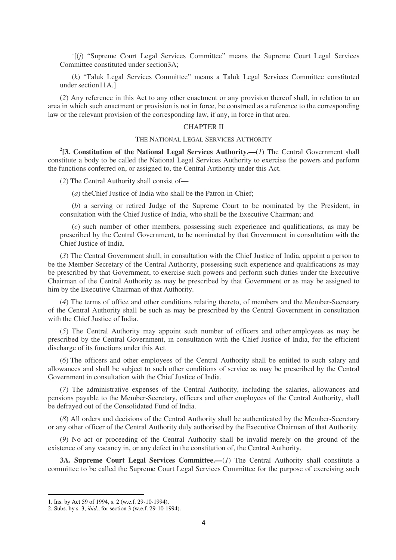$I$ <sup>1</sup>[ $(j)$  "Supreme Court Legal Services Committee" means the Supreme Court Legal Services Committee constituted under section3A;

(*k*) "Taluk Legal Services Committee" means a Taluk Legal Services Committee constituted under section11A.]

(*2*) Any reference in this Act to any other enactment or any provision thereof shall, in relation to an area in which such enactment or provision is not in force, be construed as a reference to the corresponding law or the relevant provision of the corresponding law, if any, in force in that area.

### CHAPTER II

#### THE NATIONAL LEGAL SERVICES AUTHORITY

**2 [3. Constitution of the National Legal Services Authority.—**(*1*) The Central Government shall constitute a body to be called the National Legal Services Authority to exercise the powers and perform the functions conferred on, or assigned to, the Central Authority under this Act.

(*2*) The Central Authority shall consist of**—** 

(*a*) theChief Justice of India who shall be the Patron-in-Chief;

(*b*) a serving or retired Judge of the Supreme Court to be nominated by the President, in consultation with the Chief Justice of India, who shall be the Executive Chairman; and

(*c*) such number of other members, possessing such experience and qualifications, as may be prescribed by the Central Government, to be nominated by that Government in consultation with the Chief Justice of India.

(*3*) The Central Government shall, in consultation with the Chief Justice of India, appoint a person to be the Member-Secretary of the Central Authority, possessing such experience and qualifications as may be prescribed by that Government, to exercise such powers and perform such duties under the Executive Chairman of the Central Authority as may be prescribed by that Government or as may be assigned to him by the Executive Chairman of that Authority.

(*4*) The terms of office and other conditions relating thereto, of members and the Member-Secretary of the Central Authority shall be such as may be prescribed by the Central Government in consultation with the Chief Justice of India.

(*5*) The Central Authority may appoint such number of officers and other employees as may be prescribed by the Central Government, in consultation with the Chief Justice of India, for the efficient discharge of its functions under this Act.

(*6*) The officers and other employees of the Central Authority shall be entitled to such salary and allowances and shall be subject to such other conditions of service as may be prescribed by the Central Government in consultation with the Chief Justice of India.

(*7*) The administrative expenses of the Central Authority, including the salaries, allowances and pensions payable to the Member-Secretary, officers and other employees of the Central Authority, shall be defrayed out of the Consolidated Fund of India.

(*8*) All orders and decisions of the Central Authority shall be authenticated by the Member-Secretary or any other officer of the Central Authority duly authorised by the Executive Chairman of that Authority.

(*9*) No act or proceeding of the Central Authority shall be invalid merely on the ground of the existence of any vacancy in, or any defect in the constitution of, the Central Authority.

**3A. Supreme Court Legal Services Committee.—(1)** The Central Authority shall constitute a committee to be called the Supreme Court Legal Services Committee for the purpose of exercising such

<sup>1.</sup> Ins. by Act 59 of 1994, s. 2 (w.e.f. 29-10-1994).

<sup>2.</sup> Subs. by s. 3, *ibid*., for section 3 (w.e.f. 29-10-1994).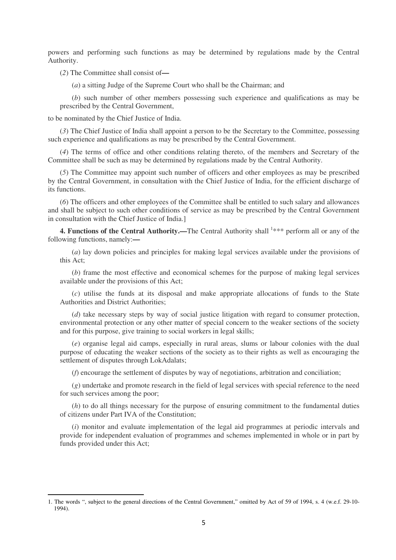powers and performing such functions as may be determined by regulations made by the Central Authority.

(*2*) The Committee shall consist of**—** 

(*a*) a sitting Judge of the Supreme Court who shall be the Chairman; and

(*b*) such number of other members possessing such experience and qualifications as may be prescribed by the Central Government,

to be nominated by the Chief Justice of India.

l

(*3*) The Chief Justice of India shall appoint a person to be the Secretary to the Committee, possessing such experience and qualifications as may be prescribed by the Central Government.

(*4*) The terms of office and other conditions relating thereto, of the members and Secretary of the Committee shall be such as may be determined by regulations made by the Central Authority.

(*5*) The Committee may appoint such number of officers and other employees as may be prescribed by the Central Government, in consultation with the Chief Justice of India, for the efficient discharge of its functions.

(*6*) The officers and other employees of the Committee shall be entitled to such salary and allowances and shall be subject to such other conditions of service as may be prescribed by the Central Government in consultation with the Chief Justice of India.]

4. Functions of the Central Authority.—The Central Authority shall <sup>1\*\*\*</sup> perform all or any of the following functions, namely:**—** 

(*a*) lay down policies and principles for making legal services available under the provisions of this Act;

(*b*) frame the most effective and economical schemes for the purpose of making legal services available under the provisions of this Act;

(*c*) utilise the funds at its disposal and make appropriate allocations of funds to the State Authorities and District Authorities;

(*d*) take necessary steps by way of social justice litigation with regard to consumer protection, environmental protection or any other matter of special concern to the weaker sections of the society and for this purpose, give training to social workers in legal skills;

(*e*) organise legal aid camps, especially in rural areas, slums or labour colonies with the dual purpose of educating the weaker sections of the society as to their rights as well as encouraging the settlement of disputes through LokAdalats;

(*f*) encourage the settlement of disputes by way of negotiations, arbitration and conciliation;

(*g*) undertake and promote research in the field of legal services with special reference to the need for such services among the poor;

(*h*) to do all things necessary for the purpose of ensuring commitment to the fundamental duties of citizens under Part IVA of the Constitution;

(*i*) monitor and evaluate implementation of the legal aid programmes at periodic intervals and provide for independent evaluation of programmes and schemes implemented in whole or in part by funds provided under this Act;

<sup>1.</sup> The words ", subject to the general directions of the Central Government," omitted by Act of 59 of 1994, s. 4 (w.e.f. 29-10- 1994).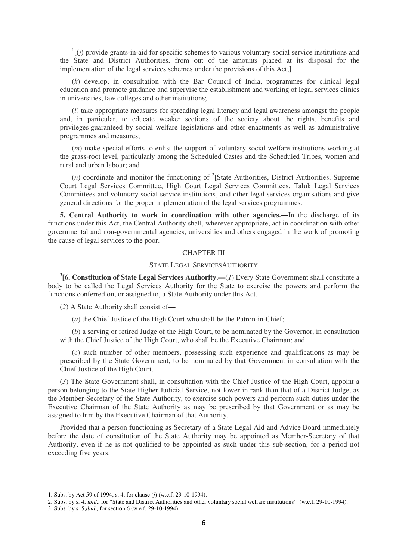$\frac{1}{1}$  (*j*) provide grants-in-aid for specific schemes to various voluntary social service institutions and the State and District Authorities, from out of the amounts placed at its disposal for the implementation of the legal services schemes under the provisions of this Act;]

(*k*) develop, in consultation with the Bar Council of India, programmes for clinical legal education and promote guidance and supervise the establishment and working of legal services clinics in universities, law colleges and other institutions;

(*l*) take appropriate measures for spreading legal literacy and legal awareness amongst the people and, in particular, to educate weaker sections of the society about the rights, benefits and privileges guaranteed by social welfare legislations and other enactments as well as administrative programmes and measures;

(*m*) make special efforts to enlist the support of voluntary social welfare institutions working at the grass-root level, particularly among the Scheduled Castes and the Scheduled Tribes, women and rural and urban labour; and

 $(n)$  coordinate and monitor the functioning of <sup>2</sup>[State Authorities, District Authorities, Supreme Court Legal Services Committee, High Court Legal Services Committees, Taluk Legal Services Committees and voluntary social service institutions] and other legal services organisations and give general directions for the proper implementation of the legal services programmes.

**5. Central Authority to work in coordination with other agencies.—**In the discharge of its functions under this Act, the Central Authority shall, wherever appropriate, act in coordination with other governmental and non-governmental agencies, universities and others engaged in the work of promoting the cause of legal services to the poor.

## CHAPTER III

#### STATE LEGAL SERVICESAUTHORITY

**3 [6. Constitution of State Legal Services Authority.—**(*1*) Every State Government shall constitute a body to be called the Legal Services Authority for the State to exercise the powers and perform the functions conferred on, or assigned to, a State Authority under this Act.

(*2*) A State Authority shall consist of**—** 

(*a*) the Chief Justice of the High Court who shall be the Patron-in-Chief;

(*b*) a serving or retired Judge of the High Court, to be nominated by the Governor, in consultation with the Chief Justice of the High Court, who shall be the Executive Chairman; and

(*c*) such number of other members, possessing such experience and qualifications as may be prescribed by the State Government, to be nominated by that Government in consultation with the Chief Justice of the High Court.

(*3*) The State Government shall, in consultation with the Chief Justice of the High Court, appoint a person belonging to the State Higher Judicial Service, not lower in rank than that of a District Judge, as the Member-Secretary of the State Authority, to exercise such powers and perform such duties under the Executive Chairman of the State Authority as may be prescribed by that Government or as may be assigned to him by the Executive Chairman of that Authority.

Provided that a person functioning as Secretary of a State Legal Aid and Advice Board immediately before the date of constitution of the State Authority may be appointed as Member-Secretary of that Authority, even if he is not qualified to be appointed as such under this sub-section, for a period not exceeding five years.

<sup>1.</sup> Subs. by Act 59 of 1994, s. 4, for clause (*j*) (w.e.f. 29-10-1994).

<sup>2.</sup> Subs. by s. 4, *ibid*., for "State and District Authorities and other voluntary social welfare institutions" (w.e.f. 29-10-1994).

<sup>3.</sup> Subs. by s. 5,*ibid.,* for section 6 (w.e.f. 29-10-1994).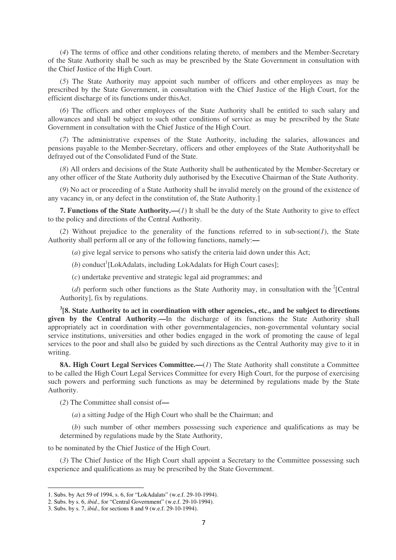(*4*) The terms of office and other conditions relating thereto, of members and the Member-Secretary of the State Authority shall be such as may be prescribed by the State Government in consultation with the Chief Justice of the High Court.

(*5*) The State Authority may appoint such number of officers and other employees as may be prescribed by the State Government, in consultation with the Chief Justice of the High Court, for the efficient discharge of its functions under thisAct.

(*6*) The officers and other employees of the State Authority shall be entitled to such salary and allowances and shall be subject to such other conditions of service as may be prescribed by the State Government in consultation with the Chief Justice of the High Court.

(*7*) The administrative expenses of the State Authority, including the salaries, allowances and pensions payable to the Member-Secretary, officers and other employees of the State Authorityshall be defrayed out of the Consolidated Fund of the State.

(*8*) All orders and decisions of the State Authority shall be authenticated by the Member-Secretary or any other officer of the State Authority duly authorised by the Executive Chairman of the State Authority.

(*9*) No act or proceeding of a State Authority shall be invalid merely on the ground of the existence of any vacancy in, or any defect in the constitution of, the State Authority.]

**7. Functions of the State Authority.—**(*1*) It shall be the duty of the State Authority to give to effect to the policy and directions of the Central Authority.

(*2*) Without prejudice to the generality of the functions referred to in sub-section(*1*), the State Authority shall perform all or any of the following functions, namely:**—** 

(*a*) give legal service to persons who satisfy the criteria laid down under this Act;

(b) conduct<sup>1</sup>[LokAdalats, including LokAdalats for High Court cases];

(*c*) undertake preventive and strategic legal aid programmes; and

(*d*) perform such other functions as the State Authority may, in consultation with the  $2$ [Central Authority], fix by regulations.

**3 [8. State Authority to act in coordination with other agencies., etc., and be subject to directions given by the Central Authority**.**—**In the discharge of its functions the State Authority shall appropriately act in coordination with other governmentalagencies, non-governmental voluntary social service institutions, universities and other bodies engaged in the work of promoting the cause of legal services to the poor and shall also be guided by such directions as the Central Authority may give to it in writing.

**8A. High Court Legal Services Committee.—**(*1*) The State Authority shall constitute a Committee to be called the High Court Legal Services Committee for every High Court, for the purpose of exercising such powers and performing such functions as may be determined by regulations made by the State Authority.

(*2*) The Committee shall consist of**—** 

(*a*) a sitting Judge of the High Court who shall be the Chairman; and

(*b*) such number of other members possessing such experience and qualifications as may be determined by regulations made by the State Authority,

to be nominated by the Chief Justice of the High Court.

(*3*) The Chief Justice of the High Court shall appoint a Secretary to the Committee possessing such experience and qualifications as may be prescribed by the State Government.

<sup>1.</sup> Subs. by Act 59 of 1994, s. 6, for "LokAdalats" (w.e.f. 29-10-1994).

<sup>2.</sup> Subs. by s. 6, *ibid*., for "Central Government" (w.e.f. 29-10-1994).

<sup>3.</sup> Subs. by s. 7, *ibid*., for sections 8 and 9 (w.e.f. 29-10-1994).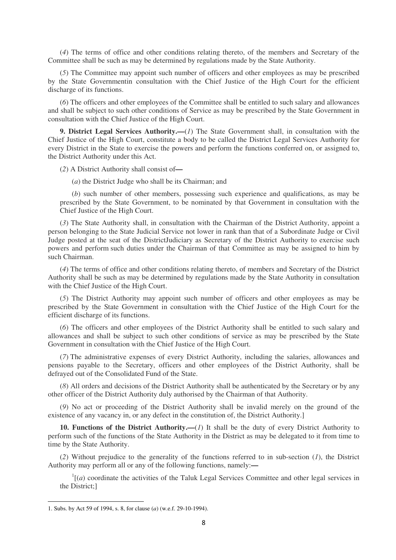(*4*) The terms of office and other conditions relating thereto, of the members and Secretary of the Committee shall be such as may be determined by regulations made by the State Authority.

(*5*) The Committee may appoint such number of officers and other employees as may be prescribed by the State Governmentin consultation with the Chief Justice of the High Court for the efficient discharge of its functions.

(*6*) The officers and other employees of the Committee shall be entitled to such salary and allowances and shall be subject to such other conditions of Service as may be prescribed by the State Government in consultation with the Chief Justice of the High Court.

**9. District Legal Services Authority.—**(*1*) The State Government shall, in consultation with the Chief Justice of the High Court, constitute a body to be called the District Legal Services Authority for every District in the State to exercise the powers and perform the functions conferred on, or assigned to, the District Authority under this Act.

(*2*) A District Authority shall consist of**—** 

(*a*) the District Judge who shall be its Chairman; and

(*b*) such number of other members, possessing such experience and qualifications, as may be prescribed by the State Government, to be nominated by that Government in consultation with the Chief Justice of the High Court.

(*3*) The State Authority shall, in consultation with the Chairman of the District Authority, appoint a person belonging to the State Judicial Service not lower in rank than that of a Subordinate Judge or Civil Judge posted at the seat of the DistrictJudiciary as Secretary of the District Authority to exercise such powers and perform such duties under the Chairman of that Committee as may be assigned to him by such Chairman.

(*4*) The terms of office and other conditions relating thereto, of members and Secretary of the District Authority shall be such as may be determined by regulations made by the State Authority in consultation with the Chief Justice of the High Court.

(*5*) The District Authority may appoint such number of officers and other employees as may be prescribed by the State Government in consultation with the Chief Justice of the High Court for the efficient discharge of its functions.

(*6*) The officers and other employees of the District Authority shall be entitled to such salary and allowances and shall be subject to such other conditions of service as may be prescribed by the State Government in consultation with the Chief Justice of the High Court.

(*7*) The administrative expenses of every District Authority, including the salaries, allowances and pensions payable to the Secretary, officers and other employees of the District Authority, shall be defrayed out of the Consolidated Fund of the State.

(*8*) All orders and decisions of the District Authority shall be authenticated by the Secretary or by any other officer of the District Authority duly authorised by the Chairman of that Authority.

(*9*) No act or proceeding of the District Authority shall be invalid merely on the ground of the existence of any vacancy in, or any defect in the constitution of, the District Authority.]

**10. Functions of the District Authority.—**(*1*) It shall be the duty of every District Authority to perform such of the functions of the State Authority in the District as may be delegated to it from time to time by the State Authority.

(*2*) Without prejudice to the generality of the functions referred to in sub-section (*1*), the District Authority may perform all or any of the following functions, namely:**—** 

 $I$ <sup>1</sup>[(*a*) coordinate the activities of the Taluk Legal Services Committee and other legal services in the District;]

<sup>1.</sup> Subs. by Act 59 of 1994, s. 8, for clause (*a*) (w.e.f. 29-10-1994).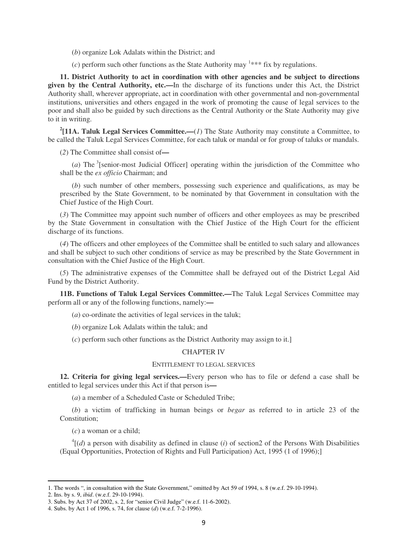(*b*) organize Lok Adalats within the District; and

 $(c)$  perform such other functions as the State Authority may  $1***$  fix by regulations.

**11. District Authority to act in coordination with other agencies and be subject to directions given by the Central Authority, etc.—**In the discharge of its functions under this Act, the District Authority shall, wherever appropriate, act in coordination with other governmental and non-governmental institutions, universities and others engaged in the work of promoting the cause of legal services to the poor and shall also be guided by such directions as the Central Authority or the State Authority may give to it in writing.

**2 [11A. Taluk Legal Services Committee.—**(*1*) The State Authority may constitute a Committee, to be called the Taluk Legal Services Committee, for each taluk or mandal or for group of taluks or mandals.

(*2*) The Committee shall consist of**—** 

(*a*) The  $\frac{3}{5}$ [senior-most Judicial Officer] operating within the jurisdiction of the Committee who shall be the *ex officio* Chairman; and

(*b*) such number of other members, possessing such experience and qualifications, as may be prescribed by the State Government, to be nominated by that Government in consultation with the Chief Justice of the High Court.

(*3*) The Committee may appoint such number of officers and other employees as may be prescribed by the State Government in consultation with the Chief Justice of the High Court for the efficient discharge of its functions.

(*4*) The officers and other employees of the Committee shall be entitled to such salary and allowances and shall be subject to such other conditions of service as may be prescribed by the State Government in consultation with the Chief Justice of the High Court.

(*5*) The administrative expenses of the Committee shall be defrayed out of the District Legal Aid Fund by the District Authority.

**11B. Functions of Taluk Legal Services Committee.—**The Taluk Legal Services Committee may perform all or any of the following functions, namely:**—** 

(*a*) co-ordinate the activities of legal services in the taluk;

(*b*) organize Lok Adalats within the taluk; and

(*c*) perform such other functions as the District Authority may assign to it.]

### CHAPTER IV

### ENTITLEMENT TO LEGAL SERVICES

**12. Criteria for giving legal services.—**Every person who has to file or defend a case shall be entitled to legal services under this Act if that person is**—** 

(*a*) a member of a Scheduled Caste or Scheduled Tribe;

(*b*) a victim of trafficking in human beings or *begar* as referred to in article 23 of the Constitution;

(*c*) a woman or a child;

 ${}^{4}$ [(*d*) a person with disability as defined in clause (*i*) of section2 of the Persons With Disabilities (Equal Opportunities, Protection of Rights and Full Participation) Act, 1995 (1 of 1996);]

<sup>1.</sup> The words ", in consultation with the State Government," omitted by Act 59 of 1994, s. 8 (w.e.f. 29-10-1994).

<sup>2.</sup> Ins. by s. 9, *ibid*. (w.e.f. 29-10-1994).

<sup>3.</sup> Subs. by Act 37 of 2002, s. 2, for "senior Civil Judge" (w.e.f. 11-6-2002).

<sup>4.</sup> Subs. by Act 1 of 1996, s. 74, for clause (*d*) (w.e.f. 7-2-1996).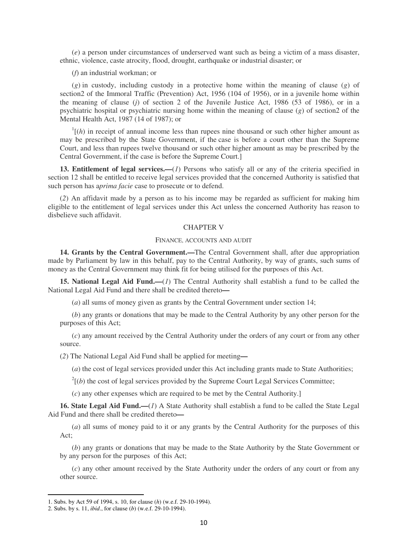(*e*) a person under circumstances of underserved want such as being a victim of a mass disaster, ethnic, violence, caste atrocity, flood, drought, earthquake or industrial disaster; or

(*f*) an industrial workman; or

(*g*) in custody, including custody in a protective home within the meaning of clause (*g*) of section2 of the Immoral Traffic (Prevention) Act, 1956 (104 of 1956), or in a juvenile home within the meaning of clause (*j*) of section 2 of the Juvenile Justice Act, 1986 (53 of 1986), or in a psychiatric hospital or psychiatric nursing home within the meaning of clause (*g*) of section2 of the Mental Health Act, 1987 (14 of 1987); or

 $\ln \left( h \right)$  in receipt of annual income less than rupees nine thousand or such other higher amount as may be prescribed by the State Government, if the case is before a court other than the Supreme Court, and less than rupees twelve thousand or such other higher amount as may be prescribed by the Central Government, if the case is before the Supreme Court.]

**13. Entitlement of legal services.—**(*1*) Persons who satisfy all or any of the criteria specified in section 12 shall be entitled to receive legal services provided that the concerned Authority is satisfied that such person has a*prima facie* case to prosecute or to defend.

(*2*) An affidavit made by a person as to his income may be regarded as sufficient for making him eligible to the entitlement of legal services under this Act unless the concerned Authority has reason to disbelieve such affidavit.

#### CHAPTER V

#### FINANCE, ACCOUNTS AND AUDIT

**14. Grants by the Central Government.—**The Central Government shall, after due appropriation made by Parliament by law in this behalf, pay to the Central Authority, by way of grants, such sums of money as the Central Government may think fit for being utilised for the purposes of this Act.

**15. National Legal Aid Fund.—**(*1*) The Central Authority shall establish a fund to be called the National Legal Aid Fund and there shall be credited thereto**—** 

(*a*) all sums of money given as grants by the Central Government under section 14;

(*b*) any grants or donations that may be made to the Central Authority by any other person for the purposes of this Act;

(*c*) any amount received by the Central Authority under the orders of any court or from any other source.

(*2*) The National Legal Aid Fund shall be applied for meeting**—** 

(*a*) the cost of legal services provided under this Act including grants made to State Authorities;

 $2^{2}$ [(*b*) the cost of legal services provided by the Supreme Court Legal Services Committee;

(*c*) any other expenses which are required to be met by the Central Authority.]

**16. State Legal Aid Fund.—**(*1*) A State Authority shall establish a fund to be called the State Legal Aid Fund and there shall be credited thereto**—** 

(*a*) all sums of money paid to it or any grants by the Central Authority for the purposes of this Act;

(*b*) any grants or donations that may be made to the State Authority by the State Government or by any person for the purposes of this Act;

(*c*) any other amount received by the State Authority under the orders of any court or from any other source.

<sup>1.</sup> Subs. by Act 59 of 1994, s. 10, for clause (*h*) (w.e.f. 29-10-1994).

<sup>2.</sup> Subs. by s. 11, *ibid*., for clause (*b*) (w.e.f. 29-10-1994).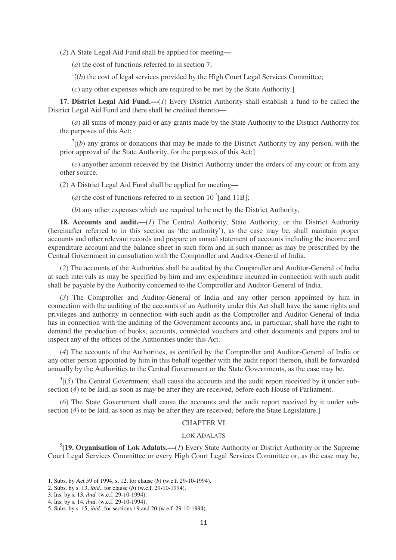(*2*) A State Legal Aid Fund shall be applied for meeting**—** 

(*a*) the cost of functions referred to in section 7;

 $<sup>1</sup>$ [(*b*) the cost of legal services provided by the High Court Legal Services Committee;</sup>

(*c*) any other expenses which are required to be met by the State Authority.]

**17. District Legal Aid Fund.—**(*1*) Every District Authority shall establish a fund to be called the District Legal Aid Fund and there shall be credited thereto**—** 

(*a*) all sums of money paid or any grants made by the State Authority to the District Authority for the purposes of this Act;

 $2^{2}$ [(*b*) any grants or donations that may be made to the District Authority by any person, with the prior approval of the State Authority, for the purposes of this Act;]

(*c*) anyother amount received by the District Authority under the orders of any court or from any other source.

(*2*) A District Legal Aid Fund shall be applied for meeting**—** 

(*a*) the cost of functions referred to in section 10<sup>3</sup> [and 11B];

(*b*) any other expenses which are required to be met by the District Authority.

**18. Accounts and audit.—**(*1*) The Central Authority, State Authority, or the District Authority (hereinafter referred to in this section as 'the authority'), as the case may be, shall maintain proper accounts and other relevant records and prepare an annual statement of accounts including the income and expenditure account and the balance-sheet in such form and in such manner as may be prescribed by the Central Government in consultation with the Comptroller and Auditor-General of India.

(*2*) The accounts of the Authorities shall be audited by the Comptroller and Auditor-General of India at such intervals as may be specified by him and any expenditure incurred in connection with such audit shall be payable by the Authority concerned to the Comptroller and Auditor-General of India.

(*3*) The Comptroller and Auditor-General of India and any other person appointed by him in connection with the auditing of the accounts of an Authority under this Act shall have the same rights and privileges and authority in connection with such audit as the Comptroller and Auditor-General of India has in connection with the auditing of the Government accounts and, in particular, shall have the right to demand the production of books, accounts, connected vouchers and other documents and papers and to inspect any of the offices of the Authorities under this Act.

(*4*) The accounts of the Authorities, as certified by the Comptroller and Auditor-General of India or any other person appointed by him in this behalf together with the audit report thereon, shall be forwarded annually by the Authorities to the Central Government or the State Governments, as the case may be.

 $^{4}$ [(5) The Central Government shall cause the accounts and the audit report received by it under subsection (*4*) to be laid, as soon as may be after they are received, before each House of Parliament.

(*6*) The State Government shall cause the accounts and the audit report received by it under subsection (4) to be laid, as soon as may be after they are received, before the State Legislature.]

#### CHAPTER VI

## LOK ADALATS

**5 [19. Organisation of Lok Adalats.—**(*1*) Every State Authority or District Authority or the Supreme Court Legal Services Committee or every High Court Legal Services Committee or, as the case may be,

<sup>1.</sup> Subs. by Act 59 of 1994, s. 12, for clause (*b*) (w.e.f. 29-10-1994).

<sup>2.</sup> Subs. by s. 13, *ibid*., for clause (*b*) (w.e.f. 29-10-1994).

<sup>3.</sup> Ins. by s. 13, *ibid*. (w.e.f. 29-10-1994).

<sup>4.</sup> Ins. by s. 14, *ibid*. (w.e.f. 29-10-1994).

<sup>5.</sup> Subs. by s. 15, *ibid*., for sections 19 and 20 (w.e.f. 29-10-1994).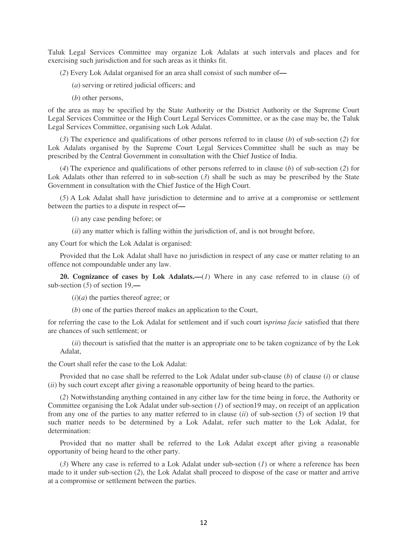Taluk Legal Services Committee may organize Lok Adalats at such intervals and places and for exercising such jurisdiction and for such areas as it thinks fit.

(*2*) Every Lok Adalat organised for an area shall consist of such number of**—** 

- (*a*) serving or retired judicial officers; and
- (*b*) other persons,

of the area as may be specified by the State Authority or the District Authority or the Supreme Court Legal Services Committee or the High Court Legal Services Committee, or as the case may be, the Taluk Legal Services Committee, organising such Lok Adalat.

(*3*) The experience and qualifications of other persons referred to in clause (*b*) of sub-section (*2*) for Lok Adalats organised by the Supreme Court Legal Services Committee shall be such as may be prescribed by the Central Government in consultation with the Chief Justice of India.

(*4*) The experience and qualifications of other persons referred to in clause (*b*) of sub-section (*2*) for Lok Adalats other than referred to in sub-section (3) shall be such as may be prescribed by the State Government in consultation with the Chief Justice of the High Court.

(*5*) A Lok Adalat shall have jurisdiction to determine and to arrive at a compromise or settlement between the parties to a dispute in respect of**—** 

(*i*) any case pending before; or

(*ii*) any matter which is falling within the jurisdiction of, and is not brought before,

any Court for which the Lok Adalat is organised:

Provided that the Lok Adalat shall have no jurisdiction in respect of any case or matter relating to an offence not compoundable under any law.

**20. Cognizance of cases by Lok Adalats.—**(*1*) Where in any case referred to in clause (*i*) of sub-section (*5*) of section 19,**—** 

 $(i)(a)$  the parties thereof agree; or

(*b*) one of the parties thereof makes an application to the Court,

for referring the case to the Lok Adalat for settlement and if such court is*prima facie* satisfied that there are chances of such settlement; or

(*ii*) thecourt is satisfied that the matter is an appropriate one to be taken cognizance of by the Lok Adalat,

the Court shall refer the case to the Lok Adalat:

Provided that no case shall be referred to the Lok Adalat under sub-clause (*b*) of clause (*i*) or clause (*ii*) by such court except after giving a reasonable opportunity of being heard to the parties.

(*2*) Notwithstanding anything contained in any cither law for the time being in force, the Authority or Committee organising the Lok Adalat under sub-section (*1*) of section19 may, on receipt of an application from any one of the parties to any matter referred to in clause (*ii*) of sub-section (*5*) of section 19 that such matter needs to be determined by a Lok Adalat, refer such matter to the Lok Adalat, for determination:

Provided that no matter shall be referred to the Lok Adalat except after giving a reasonable opportunity of being heard to the other party.

(*3*) Where any case is referred to a Lok Adalat under sub-section (*1*) or where a reference has been made to it under sub-section (*2*), the Lok Adalat shall proceed to dispose of the case or matter and arrive at a compromise or settlement between the parties.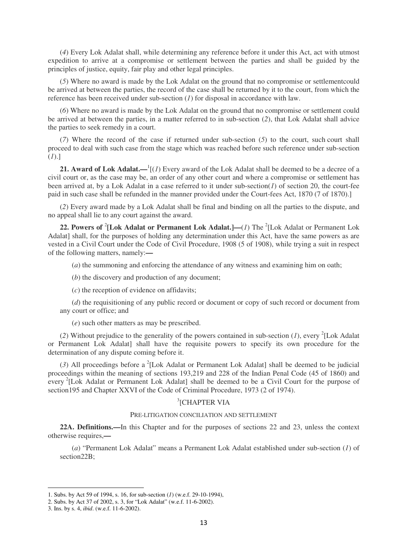(*4*) Every Lok Adalat shall, while determining any reference before it under this Act, act with utmost expedition to arrive at a compromise or settlement between the parties and shall be guided by the principles of justice, equity, fair play and other legal principles.

(*5*) Where no award is made by the Lok Adalat on the ground that no compromise or settlementcould be arrived at between the parties, the record of the case shall be returned by it to the court, from which the reference has been received under sub-section (*1*) for disposal in accordance with law.

(*6*) Where no award is made by the Lok Adalat on the ground that no compromise or settlement could be arrived at between the parties, in a matter referred to in sub-section (*2*), that Lok Adalat shall advice the parties to seek remedy in a court.

(*7*) Where the record of the case if returned under sub-section (*5*) to the court, such court shall proceed to deal with such case from the stage which was reached before such reference under sub-section (*1*).]

21. Award of Lok Adalat.—<sup>1</sup>[(*1*) Every award of the Lok Adalat shall be deemed to be a decree of a civil court or, as the case may be, an order of any other court and where a compromise or settlement has been arrived at, by a Lok Adalat in a case referred to it under sub-section(*1*) of section 20, the court-fee paid in such case shall be refunded in the manner provided under the Court-fees Act, 1870 (7 of 1870).]

(*2*) Every award made by a Lok Adalat shall be final and binding on all the parties to the dispute, and no appeal shall lie to any court against the award.

22. Powers of <sup>2</sup>[Lok Adalat or Permanent Lok Adalat.]—(*1*) The <sup>2</sup>[Lok Adalat or Permanent Lok Adalat] shall, for the purposes of holding any determination under this Act, have the same powers as are vested in a Civil Court under the Code of Civil Procedure, 1908 (5 of 1908), while trying a suit in respect of the following matters, namely:**—** 

(*a*) the summoning and enforcing the attendance of any witness and examining him on oath;

(*b*) the discovery and production of any document;

(*c*) the reception of evidence on affidavits;

(*d*) the requisitioning of any public record or document or copy of such record or document from any court or office; and

(*e*) such other matters as may be prescribed.

(2) Without prejudice to the generality of the powers contained in sub-section  $(I)$ , every <sup>2</sup>[Lok Adalat or Permanent Lok Adalat] shall have the requisite powers to specify its own procedure for the determination of any dispute coming before it.

 $(3)$  All proceedings before a  $^{2}$ [Lok Adalat or Permanent Lok Adalat] shall be deemed to be judicial proceedings within the meaning of sections 193,219 and 228 of the Indian Penal Code (45 of 1860) and every <sup>2</sup>[Lok Adalat or Permanent Lok Adalat] shall be deemed to be a Civil Court for the purpose of section195 and Chapter XXVI of the Code of Criminal Procedure, 1973 (2 of 1974).

# 3 [CHAPTER VIA

### PRE-LITIGATION CONCILIATION AND SETTLEMENT

**22A. Definitions.—**In this Chapter and for the purposes of sections 22 and 23, unless the context otherwise requires,**—** 

(*a*) "Permanent Lok Adalat" means a Permanent Lok Adalat established under sub-section (*1*) of section22B;

<sup>1.</sup> Subs. by Act 59 of 1994, s. 16, for sub-section (*1*) (w.e.f. 29-10-1994),

<sup>2.</sup> Subs. by Act 37 of 2002, s. 3, for "Lok Adalat" (w.e.f. 11-6-2002).

<sup>3.</sup> Ins. by s. 4, *ibid*. (w.e.f. 11-6-2002).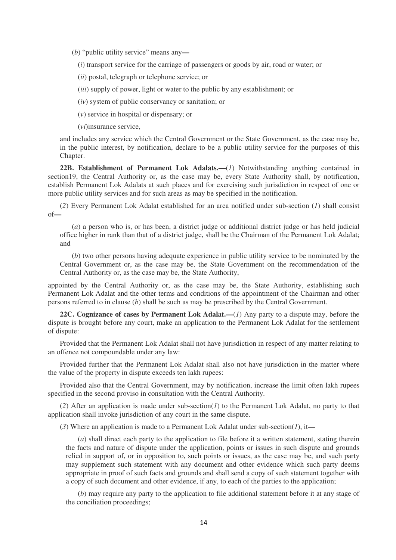(*b*) "public utility service" means any**—** 

(*i*) transport service for the carriage of passengers or goods by air, road or water; or

(*ii*) postal, telegraph or telephone service; or

(*iii*) supply of power, light or water to the public by any establishment; or

(*iv*) system of public conservancy or sanitation; or

(*v*) service in hospital or dispensary; or

(*vi*)insurance service,

and includes any service which the Central Government or the State Government, as the case may be, in the public interest, by notification, declare to be a public utility service for the purposes of this Chapter.

**22B. Establishment of Permanent Lok Adalats.—**(*1*) Notwithstanding anything contained in section19, the Central Authority or, as the case may be, every State Authority shall, by notification, establish Permanent Lok Adalats at such places and for exercising such jurisdiction in respect of one or more public utility services and for such areas as may be specified in the notification.

(*2*) Every Permanent Lok Adalat established for an area notified under sub-section (*1*) shall consist of**—** 

(*a*) a person who is, or has been, a district judge or additional district judge or has held judicial office higher in rank than that of a district judge, shall be the Chairman of the Permanent Lok Adalat; and

(*b*) two other persons having adequate experience in public utility service to be nominated by the Central Government or, as the case may be, the State Government on the recommendation of the Central Authority or, as the case may be, the State Authority,

appointed by the Central Authority or, as the case may be, the State Authority, establishing such Permanent Lok Adalat and the other terms and conditions of the appointment of the Chairman and other persons referred to in clause (*b*) shall be such as may be prescribed by the Central Government.

**22C. Cognizance of cases by Permanent Lok Adalat.—**(*1*) Any party to a dispute may, before the dispute is brought before any court, make an application to the Permanent Lok Adalat for the settlement of dispute:

Provided that the Permanent Lok Adalat shall not have jurisdiction in respect of any matter relating to an offence not compoundable under any law:

Provided further that the Permanent Lok Adalat shall also not have jurisdiction in the matter where the value of the property in dispute exceeds ten lakh rupees:

Provided also that the Central Government, may by notification, increase the limit often lakh rupees specified in the second proviso in consultation with the Central Authority.

(*2*) After an application is made under sub-section(*1*) to the Permanent Lok Adalat, no party to that application shall invoke jurisdiction of any court in the same dispute.

(*3*) Where an application is made to a Permanent Lok Adalat under sub-section(*1*), it**—** 

(*a*) shall direct each party to the application to file before it a written statement, stating therein the facts and nature of dispute under the application, points or issues in such dispute and grounds relied in support of, or in opposition to, such points or issues, as the case may be, and such party may supplement such statement with any document and other evidence which such party deems appropriate in proof of such facts and grounds and shall send a copy of such statement together with a copy of such document and other evidence, if any, to each of the parties to the application;

(*b*) may require any party to the application to file additional statement before it at any stage of the conciliation proceedings;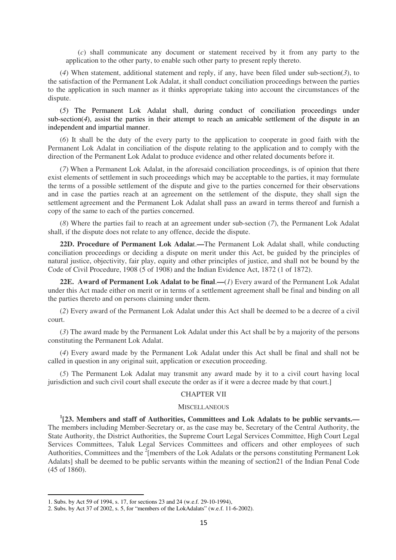(*c*) shall communicate any document or statement received by it from any party to the application to the other party, to enable such other party to present reply thereto.

(*4*) When statement, additional statement and reply, if any, have been filed under sub-section(*3*), to the satisfaction of the Permanent Lok Adalat, it shall conduct conciliation proceedings between the parties to the application in such manner as it thinks appropriate taking into account the circumstances of the dispute.

(*5*) The Permanent Lok Adalat shall, during conduct of conciliation proceedings under sub-section(4), assist the parties in their attempt to reach an amicable settlement of the dispute in an independent and impartial manner.

(*6*) It shall be the duty of the every party to the application to cooperate in good faith with the Permanent Lok Adalat in conciliation of the dispute relating to the application and to comply with the direction of the Permanent Lok Adalat to produce evidence and other related documents before it.

(*7*) When a Permanent Lok Adalat, in the aforesaid conciliation proceedings, is of opinion that there exist elements of settlement in such proceedings which may be acceptable to the parties, it may formulate the terms of a possible settlement of the dispute and give to the parties concerned for their observations and in case the parties reach at an agreement on the settlement of the dispute, they shall sign the settlement agreement and the Permanent Lok Adalat shall pass an award in terms thereof and furnish a copy of the same to each of the parties concerned.

(*8*) Where the parties fail to reach at an agreement under sub-section (*7*), the Permanent Lok Adalat shall, if the dispute does not relate to any offence, decide the dispute.

**22D. Procedure of Permanent Lok Adala**t.**—**The Permanent Lok Adalat shall, while conducting conciliation proceedings or deciding a dispute on merit under this Act, be guided by the principles of natural justice, objectivity, fair play, equity and other principles of justice, and shall not be bound by the Code of Civil Procedure, 1908 (5 of 1908) and the Indian Evidence Act, 1872 (1 of 1872).

**22E. Award of Permanent Lok Adalat to be final**.**—**(*1*) Every award of the Permanent Lok Adalat under this Act made either on merit or in terms of a settlement agreement shall be final and binding on all the parties thereto and on persons claiming under them.

(*2*) Every award of the Permanent Lok Adalat under this Act shall be deemed to be a decree of a civil court.

(*3*) The award made by the Permanent Lok Adalat under this Act shall be by a majority of the persons constituting the Permanent Lok Adalat.

(*4*) Every award made by the Permanent Lok Adalat under this Act shall be final and shall not be called in question in any original suit, application or execution proceeding.

(*5*) The Permanent Lok Adalat may transmit any award made by it to a civil court having local jurisdiction and such civil court shall execute the order as if it were a decree made by that court.]

### CHAPTER VII

#### **MISCELLANEOUS**

**1 [23. Members and staff of Authorities, Committees and Lok Adalats to be public servants.—** The members including Member-Secretary or, as the case may be, Secretary of the Central Authority, the State Authority, the District Authorities, the Supreme Court Legal Services Committee, High Court Legal Services Committees, Taluk Legal Services Committees and officers and other employees of such Authorities, Committees and the  $2$ [members of the Lok Adalats or the persons constituting Permanent Lok Adalats] shall be deemed to be public servants within the meaning of section21 of the Indian Penal Code (45 of 1860).

<sup>1.</sup> Subs. by Act 59 of 1994, s. 17, for sections 23 and 24 (w.e.f. 29-10-1994),

<sup>2.</sup> Subs. by Act 37 of 2002, s. 5, for "members of the LokAdalats" (w.e.f. 11-6-2002).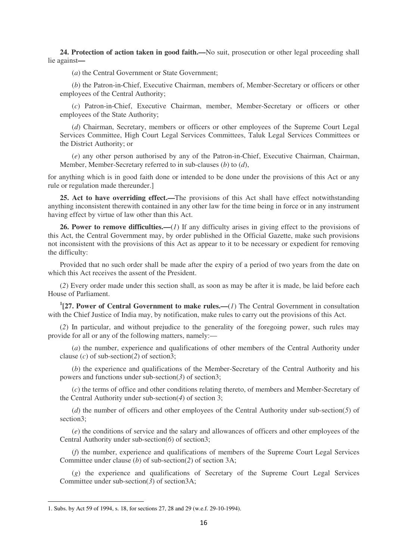**24. Protection of action taken in good faith.—**No suit, prosecution or other legal proceeding shall lie against**—** 

(*a*) the Central Government or State Government;

(*b*) the Patron-in-Chief, Executive Chairman, members of, Member-Secretary or officers or other employees of the Central Authority;

(*c*) Patron-in-Chief, Executive Chairman, member, Member-Secretary or officers or other employees of the State Authority;

(*d*) Chairman, Secretary, members or officers or other employees of the Supreme Court Legal Services Committee, High Court Legal Services Committees, Taluk Legal Services Committees or the District Authority; or

(*e*) any other person authorised by any of the Patron-in-Chief, Executive Chairman, Chairman, Member, Member-Secretary referred to in sub-clauses (*b*) to (*d*),

for anything which is in good faith done or intended to be done under the provisions of this Act or any rule or regulation made thereunder.]

**25. Act to have overriding effect.—**The provisions of this Act shall have effect notwithstanding anything inconsistent therewith contained in any other law for the time being in force or in any instrument having effect by virtue of law other than this Act.

**26. Power to remove difficulties.—**(*1*) If any difficulty arises in giving effect to the provisions of this Act, the Central Government may, by order published in the Official Gazette, make such provisions not inconsistent with the provisions of this Act as appear to it to be necessary or expedient for removing the difficulty:

Provided that no such order shall be made after the expiry of a period of two years from the date on which this Act receives the assent of the President.

(*2*) Every order made under this section shall, as soon as may be after it is made, be laid before each House of Parliament.

**1 [27. Power of Central Government to make rules.—**(*1*) The Central Government in consultation with the Chief Justice of India may, by notification, make rules to carry out the provisions of this Act.

(*2*) In particular, and without prejudice to the generality of the foregoing power, such rules may provide for all or any of the following matters, namely:—

(*a*) the number, experience and qualifications of other members of the Central Authority under clause (*c*) of sub-section(*2*) of section3;

(*b*) the experience and qualifications of the Member-Secretary of the Central Authority and his powers and functions under sub-section(*3*) of section3;

(*c*) the terms of office and other conditions relating thereto, of members and Member-Secretary of the Central Authority under sub-section(*4*) of section 3;

(*d*) the number of officers and other employees of the Central Authority under sub-section(*5*) of section3;

(*e*) the conditions of service and the salary and allowances of officers and other employees of the Central Authority under sub-section(*6*) of section3;

(*f*) the number, experience and qualifications of members of the Supreme Court Legal Services Committee under clause (*b*) of sub-section(*2*) of section 3A;

(*g*) the experience and qualifications of Secretary of the Supreme Court Legal Services Committee under sub-section(*3*) of section3A;

<sup>1.</sup> Subs. by Act 59 of 1994, s. 18, for sections 27, 28 and 29 (w.e.f. 29-10-1994).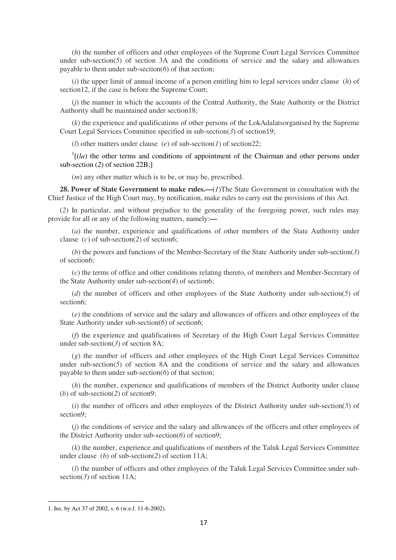(*h*) the number of officers and other employees of the Supreme Court Legal Services Committee under sub-section(5) of section 3A and the conditions of service and the salary and allowances payable to them under sub-section(*6*) of that section;

(*i*) the upper limit of annual income of a person entitling him to legal services under clause (*h*) of section12, if the case is before the Supreme Court;

(*j*) the manner in which the accounts of the Central Authority, the State Authority or the District Authority shall be maintained under section18;

(*k*) the experience and qualifications of other persons of the LokAdalatsorganised by the Supreme Court Legal Services Committee specified in sub-section(*3*) of section19;

(*l*) other matters under clause (*e*) of sub-section(*l*) of section22;

 $<sup>1</sup>$ [(*la*) the other terms and conditions of appointment of the Chairman and other persons under</sup> sub-section (*2*) of section 22B;]

(*m*) any other matter which is to be, or may be, prescribed.

**28. Power of State Government to make rules.—**(*1*)The State Government in consultation with the Chief Justice of the High Court may, by notification, make rules to carry out the provisions of this Act.

(*2*) In particular, and without prejudice to the generality of the foregoing power, such rules may provide for all or any of the following matters, namely:**—** 

(*a*) the number, experience and qualifications of other members of the State Authority under clause (*c*) of sub-section(*2*) of section6;

(*b*) the powers and functions of the Member-Secretary of the State Authority under sub-section(*3*) of section6;

(*c*) the terms of office and other conditions relating thereto, of members and Member-Secretary of the State Authority under sub-section(*4*) of section6;

(*d*) the number of officers and other employees of the State Authority under sub-section(*5*) of section6;

(*e*) the conditions of service and the salary and allowances of officers and other employees of the State Authority under sub-section(*6*) of section6;

(*f*) the experience and qualifications of Secretary of the High Court Legal Services Committee under sub-section(*3*) of section 8A;

(*g*) the number of officers and other employees of the High Court Legal Services Committee under sub-section( $5$ ) of section 8A and the conditions of service and the salary and allowances payable to them under sub-section(*6*) of that section;

(*h*) the number, experience and qualifications of members of the District Authority under clause (*b*) of sub-section(*2*) of section9;

(*i*) the number of officers and other employees of the District Authority under sub-section(*5*) of section9;

(*j*) the conditions of service and the salary and allowances of the officers and other employees of the District Authority under sub-section(*6*) of section9;

(*k*) the number, experience and qualifications of members of the Taluk Legal Services Committee under clause (*b*) of sub-section(*2*) of section 11A;

(*l*) the number of officers and other employees of the Taluk Legal Services Committee under subsection(3) of section 11A;

<sup>1.</sup> Ins. by Act 37 of 2002, s. 6 (w.e.f. 11-6-2002).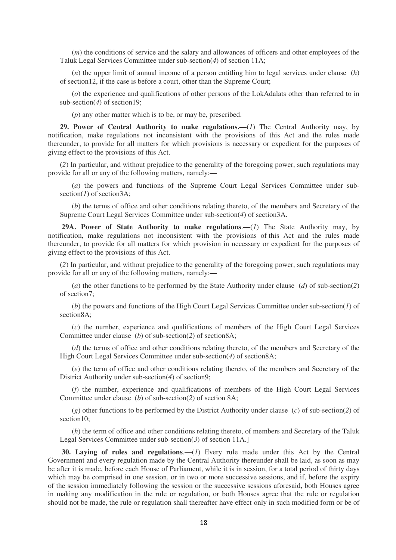(*m*) the conditions of service and the salary and allowances of officers and other employees of the Taluk Legal Services Committee under sub-section(*4*) of section 11A;

(*n*) the upper limit of annual income of a person entitling him to legal services under clause (*h*) of section12, if the case is before a court, other than the Supreme Court;

(*o*) the experience and qualifications of other persons of the LokAdalats other than referred to in sub-section(4) of section19;

(*p*) any other matter which is to be, or may be, prescribed.

**29. Power of Central Authority to make regulations.—**(*1*) The Central Authority may, by notification, make regulations not inconsistent with the provisions of this Act and the rules made thereunder, to provide for all matters for which provisions is necessary or expedient for the purposes of giving effect to the provisions of this Act.

(*2*) In particular, and without prejudice to the generality of the foregoing power, such regulations may provide for all or any of the following matters, namely:**—** 

(*a*) the powers and functions of the Supreme Court Legal Services Committee under subsection(*1*) of section3A;

(*b*) the terms of office and other conditions relating thereto, of the members and Secretary of the Supreme Court Legal Services Committee under sub-section(*4*) of section3A.

 **29A. Power of State Authority to make regulations**.**—**(*1*) The State Authority may, by notification, make regulations not inconsistent with the provisions of this Act and the rules made thereunder, to provide for all matters for which provision in necessary or expedient for the purposes of giving effect to the provisions of this Act.

(*2*) In particular, and without prejudice to the generality of the foregoing power, such regulations may provide for all or any of the following matters, namely:**—** 

(*a*) the other functions to be performed by the State Authority under clause (*d*) of sub-section(*2*) of section7;

(*b*) the powers and functions of the High Court Legal Services Committee under sub-section(*1*) of section8A;

(*c*) the number, experience and qualifications of members of the High Court Legal Services Committee under clause (*b*) of sub-section(*2*) of section8A;

(*d*) the terms of office and other conditions relating thereto, of the members and Secretary of the High Court Legal Services Committee under sub-section(*4*) of section8A;

(*e*) the term of office and other conditions relating thereto, of the members and Secretary of the District Authority under sub-section(*4*) of section9;

(*f*) the number, experience and qualifications of members of the High Court Legal Services Committee under clause (*b*) of sub-section(*2*) of section 8A;

(*g*) other functions to be performed by the District Authority under clause (*c*) of sub-section(*2*) of section10:

(*h*) the term of office and other conditions relating thereto, of members and Secretary of the Taluk Legal Services Committee under sub-section(*3*) of section 11A.]

 **30. Laying of rules and regulations.—(***1***)** Every rule made under this Act by the Central Government and every regulation made by the Central Authority thereunder shall be laid, as soon as may be after it is made, before each House of Parliament, while it is in session, for a total period of thirty days which may be comprised in one session, or in two or more successive sessions, and if, before the expiry of the session immediately following the session or the successive sessions aforesaid, both Houses agree in making any modification in the rule or regulation, or both Houses agree that the rule or regulation should not be made, the rule or regulation shall thereafter have effect only in such modified form or be of